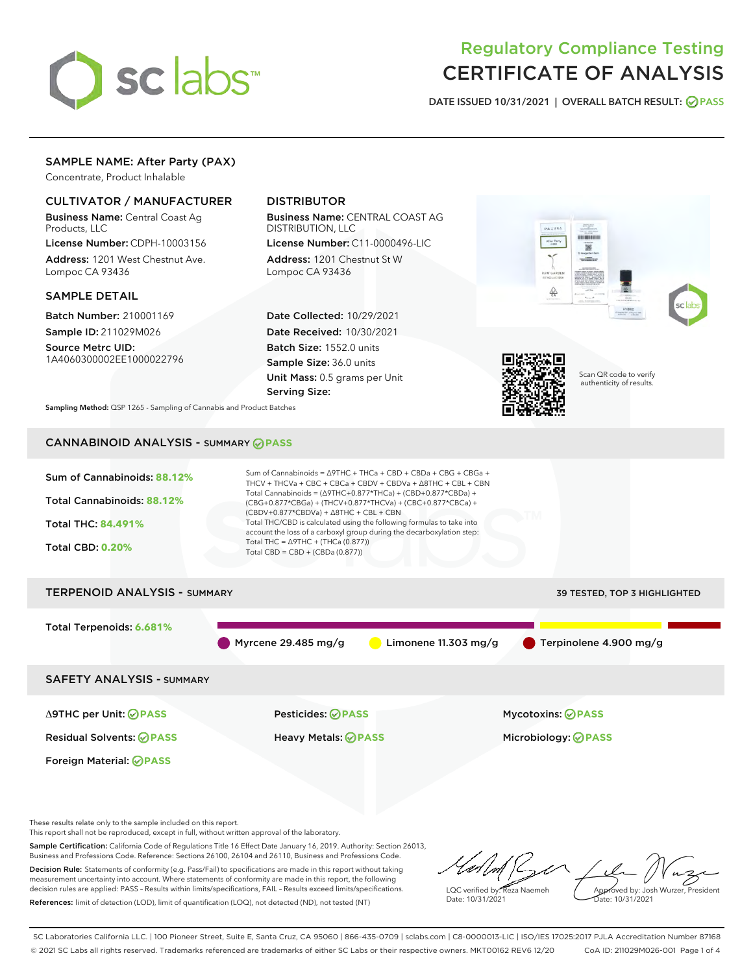

# Regulatory Compliance Testing CERTIFICATE OF ANALYSIS

DATE ISSUED 10/31/2021 | OVERALL BATCH RESULT: @ PASS

# SAMPLE NAME: After Party (PAX)

Concentrate, Product Inhalable

# CULTIVATOR / MANUFACTURER

Business Name: Central Coast Ag Products, LLC

License Number: CDPH-10003156 Address: 1201 West Chestnut Ave. Lompoc CA 93436

### SAMPLE DETAIL

Batch Number: 210001169 Sample ID: 211029M026

Source Metrc UID: 1A4060300002EE1000022796

# DISTRIBUTOR

Business Name: CENTRAL COAST AG DISTRIBUTION, LLC License Number: C11-0000496-LIC

Address: 1201 Chestnut St W Lompoc CA 93436

Date Collected: 10/29/2021 Date Received: 10/30/2021 Batch Size: 1552.0 units Sample Size: 36.0 units Unit Mass: 0.5 grams per Unit Serving Size:





Scan QR code to verify authenticity of results.

Sampling Method: QSP 1265 - Sampling of Cannabis and Product Batches

# CANNABINOID ANALYSIS - SUMMARY **PASS**



These results relate only to the sample included on this report.

This report shall not be reproduced, except in full, without written approval of the laboratory.

Sample Certification: California Code of Regulations Title 16 Effect Date January 16, 2019. Authority: Section 26013, Business and Professions Code. Reference: Sections 26100, 26104 and 26110, Business and Professions Code. Decision Rule: Statements of conformity (e.g. Pass/Fail) to specifications are made in this report without taking

measurement uncertainty into account. Where statements of conformity are made in this report, the following decision rules are applied: PASS – Results within limits/specifications, FAIL – Results exceed limits/specifications. References: limit of detection (LOD), limit of quantification (LOQ), not detected (ND), not tested (NT)

LQC verified by: Reza Naemeh Date: 10/31/2021 Approved by: Josh Wurzer, President Date: 10/31/2021

SC Laboratories California LLC. | 100 Pioneer Street, Suite E, Santa Cruz, CA 95060 | 866-435-0709 | sclabs.com | C8-0000013-LIC | ISO/IES 17025:2017 PJLA Accreditation Number 87168 © 2021 SC Labs all rights reserved. Trademarks referenced are trademarks of either SC Labs or their respective owners. MKT00162 REV6 12/20 CoA ID: 211029M026-001 Page 1 of 4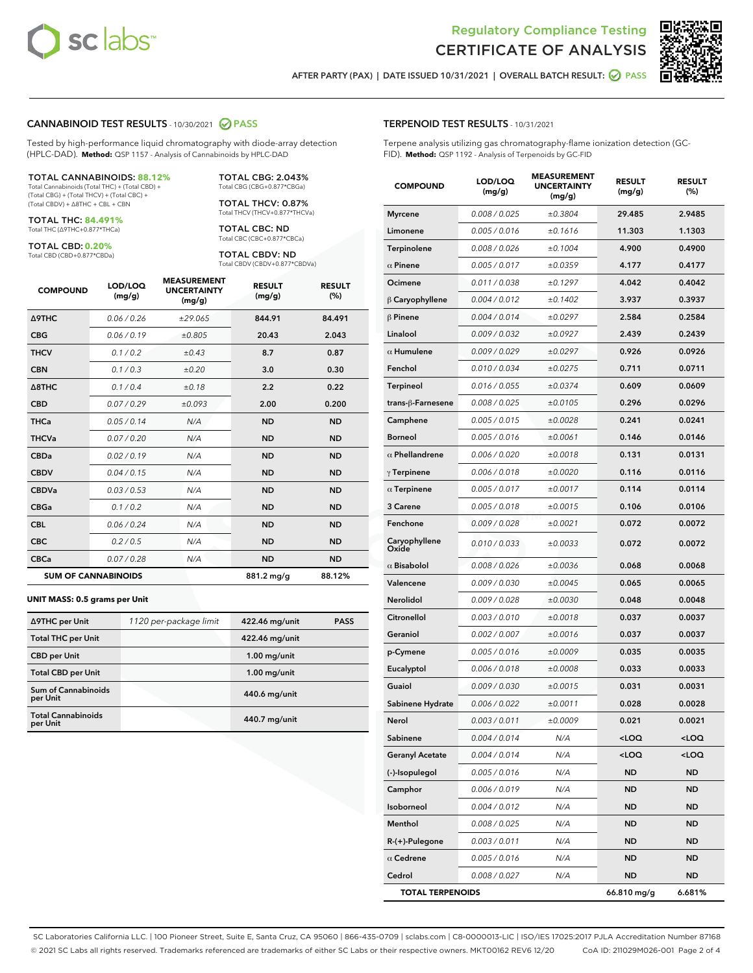



AFTER PARTY (PAX) | DATE ISSUED 10/31/2021 | OVERALL BATCH RESULT:  $\bigcirc$  PASS

### CANNABINOID TEST RESULTS - 10/30/2021 2 PASS

Tested by high-performance liquid chromatography with diode-array detection (HPLC-DAD). **Method:** QSP 1157 - Analysis of Cannabinoids by HPLC-DAD

#### TOTAL CANNABINOIDS: **88.12%**

Total Cannabinoids (Total THC) + (Total CBD) + (Total CBG) + (Total THCV) + (Total CBC) + (Total CBDV) + ∆8THC + CBL + CBN

TOTAL THC: **84.491%** Total THC (∆9THC+0.877\*THCa)

TOTAL CBD: **0.20%**

Total CBD (CBD+0.877\*CBDa)

TOTAL CBG: 2.043% Total CBG (CBG+0.877\*CBGa)

TOTAL THCV: 0.87% Total THCV (THCV+0.877\*THCVa)

TOTAL CBC: ND Total CBC (CBC+0.877\*CBCa)

TOTAL CBDV: ND Total CBDV (CBDV+0.877\*CBDVa)

| <b>COMPOUND</b>  | LOD/LOQ<br>(mg/g)          | <b>MEASUREMENT</b><br><b>UNCERTAINTY</b><br>(mg/g) | <b>RESULT</b><br>(mg/g) | <b>RESULT</b><br>(%) |
|------------------|----------------------------|----------------------------------------------------|-------------------------|----------------------|
| Δ9THC            | 0.06/0.26                  | ±29.065                                            | 844.91                  | 84.491               |
| <b>CBG</b>       | 0.06/0.19                  | ±0.805                                             | 20.43                   | 2.043                |
| <b>THCV</b>      | 0.1/0.2                    | ±0.43                                              | 8.7                     | 0.87                 |
| <b>CBN</b>       | 0.1/0.3                    | ±0.20                                              | 3.0                     | 0.30                 |
| $\triangle$ 8THC | 0.1/0.4                    | ±0.18                                              | 2.2                     | 0.22                 |
| <b>CBD</b>       | 0.07/0.29                  | ±0.093                                             | 2.00                    | 0.200                |
| <b>THCa</b>      | 0.05/0.14                  | N/A                                                | <b>ND</b>               | <b>ND</b>            |
| <b>THCVa</b>     | 0.07/0.20                  | N/A                                                | <b>ND</b>               | <b>ND</b>            |
| <b>CBDa</b>      | 0.02/0.19                  | N/A                                                | <b>ND</b>               | <b>ND</b>            |
| <b>CBDV</b>      | 0.04 / 0.15                | N/A                                                | <b>ND</b>               | <b>ND</b>            |
| <b>CBDVa</b>     | 0.03 / 0.53                | N/A                                                | <b>ND</b>               | <b>ND</b>            |
| <b>CBGa</b>      | 0.1/0.2                    | N/A                                                | <b>ND</b>               | <b>ND</b>            |
| <b>CBL</b>       | 0.06 / 0.24                | N/A                                                | <b>ND</b>               | <b>ND</b>            |
| <b>CBC</b>       | 0.2 / 0.5                  | N/A                                                | <b>ND</b>               | <b>ND</b>            |
| <b>CBCa</b>      | 0.07 / 0.28                | N/A                                                | <b>ND</b>               | <b>ND</b>            |
|                  | <b>SUM OF CANNABINOIDS</b> |                                                    | 881.2 mg/g              | 88.12%               |

#### **UNIT MASS: 0.5 grams per Unit**

| ∆9THC per Unit                        | 1120 per-package limit | 422.46 mg/unit | <b>PASS</b> |
|---------------------------------------|------------------------|----------------|-------------|
| <b>Total THC per Unit</b>             |                        | 422.46 mg/unit |             |
| <b>CBD</b> per Unit                   |                        | $1.00$ mg/unit |             |
| <b>Total CBD per Unit</b>             |                        | $1.00$ mg/unit |             |
| Sum of Cannabinoids<br>per Unit       |                        | 440.6 mg/unit  |             |
| <b>Total Cannabinoids</b><br>per Unit |                        | 440.7 mg/unit  |             |

# TERPENOID TEST RESULTS - 10/31/2021

Terpene analysis utilizing gas chromatography-flame ionization detection (GC-FID). **Method:** QSP 1192 - Analysis of Terpenoids by GC-FID

| <b>COMPOUND</b>         | LOD/LOQ<br>(mg/g) | <b>MEASUREMENT</b><br><b>UNCERTAINTY</b><br>(mg/g) | <b>RESULT</b><br>(mg/g)                         | <b>RESULT</b><br>(%) |
|-------------------------|-------------------|----------------------------------------------------|-------------------------------------------------|----------------------|
| Myrcene                 | 0.008 / 0.025     | ±0.3804                                            | 29.485                                          | 2.9485               |
| Limonene                | 0.005 / 0.016     | ±0.1616                                            | 11.303                                          | 1.1303               |
| Terpinolene             | 0.008 / 0.026     | ±0.1004                                            | 4.900                                           | 0.4900               |
| $\alpha$ Pinene         | 0.005 / 0.017     | ±0.0359                                            | 4.177                                           | 0.4177               |
| Ocimene                 | 0.011 / 0.038     | ±0.1297                                            | 4.042                                           | 0.4042               |
| $\beta$ Caryophyllene   | 0.004 / 0.012     | ±0.1402                                            | 3.937                                           | 0.3937               |
| $\beta$ Pinene          | 0.004 / 0.014     | ±0.0297                                            | 2.584                                           | 0.2584               |
| Linalool                | 0.009 / 0.032     | ±0.0927                                            | 2.439                                           | 0.2439               |
| $\alpha$ Humulene       | 0.009/0.029       | ±0.0297                                            | 0.926                                           | 0.0926               |
| Fenchol                 | 0.010 / 0.034     | ±0.0275                                            | 0.711                                           | 0.0711               |
| Terpineol               | 0.016 / 0.055     | ±0.0374                                            | 0.609                                           | 0.0609               |
| trans-ß-Farnesene       | 0.008 / 0.025     | ±0.0105                                            | 0.296                                           | 0.0296               |
| Camphene                | 0.005 / 0.015     | ±0.0028                                            | 0.241                                           | 0.0241               |
| Borneol                 | 0.005 / 0.016     | ±0.0061                                            | 0.146                                           | 0.0146               |
| $\alpha$ Phellandrene   | 0.006 / 0.020     | ±0.0018                                            | 0.131                                           | 0.0131               |
| $\gamma$ Terpinene      | 0.006 / 0.018     | ±0.0020                                            | 0.116                                           | 0.0116               |
| $\alpha$ Terpinene      | 0.005 / 0.017     | ±0.0017                                            | 0.114                                           | 0.0114               |
| 3 Carene                | 0.005 / 0.018     | ±0.0015                                            | 0.106                                           | 0.0106               |
| Fenchone                | 0.009 / 0.028     | ±0.0021                                            | 0.072                                           | 0.0072               |
| Caryophyllene<br>Oxide  | 0.010 / 0.033     | ±0.0033                                            | 0.072                                           | 0.0072               |
| $\alpha$ Bisabolol      | 0.008 / 0.026     | ±0.0036                                            | 0.068                                           | 0.0068               |
| Valencene               | 0.009 / 0.030     | ±0.0045                                            | 0.065                                           | 0.0065               |
| Nerolidol               | 0.009 / 0.028     | ±0.0030                                            | 0.048                                           | 0.0048               |
| Citronellol             | 0.003 / 0.010     | ±0.0018                                            | 0.037                                           | 0.0037               |
| Geraniol                | 0.002 / 0.007     | ±0.0016                                            | 0.037                                           | 0.0037               |
| p-Cymene                | 0.005 / 0.016     | ±0.0009                                            | 0.035                                           | 0.0035               |
| Eucalyptol              | 0.006 / 0.018     | ±0.0008                                            | 0.033                                           | 0.0033               |
| Guaiol                  | 0.009 / 0.030     | ±0.0015                                            | 0.031                                           | 0.0031               |
| Sabinene Hydrate        | 0.006 / 0.022     | ±0.0011                                            | 0.028                                           | 0.0028               |
| Nerol                   | 0.003 / 0.011     | ±0.0009                                            | 0.021                                           | 0.0021               |
| Sabinene                | 0.004 / 0.014     | N/A                                                | <loq< th=""><th><loq< th=""></loq<></th></loq<> | <loq< th=""></loq<>  |
| <b>Geranyl Acetate</b>  | 0.004 / 0.014     | N/A                                                | <loq< th=""><th><loq< th=""></loq<></th></loq<> | <loq< th=""></loq<>  |
| (-)-Isopulegol          | 0.005 / 0.016     | N/A                                                | ND                                              | ND                   |
| Camphor                 | 0.006 / 0.019     | N/A                                                | ND                                              | ND                   |
| Isoborneol              | 0.004 / 0.012     | N/A                                                | ND                                              | ND                   |
| Menthol                 | 0.008 / 0.025     | N/A                                                | ND                                              | ND                   |
| R-(+)-Pulegone          | 0.003 / 0.011     | N/A                                                | ND                                              | ND                   |
| $\alpha$ Cedrene        | 0.005 / 0.016     | N/A                                                | ND                                              | ND                   |
| Cedrol                  | 0.008 / 0.027     | N/A                                                | ND                                              | ND                   |
| <b>TOTAL TERPENOIDS</b> |                   |                                                    | 66.810 mg/g                                     | 6.681%               |

SC Laboratories California LLC. | 100 Pioneer Street, Suite E, Santa Cruz, CA 95060 | 866-435-0709 | sclabs.com | C8-0000013-LIC | ISO/IES 17025:2017 PJLA Accreditation Number 87168 © 2021 SC Labs all rights reserved. Trademarks referenced are trademarks of either SC Labs or their respective owners. MKT00162 REV6 12/20 CoA ID: 211029M026-001 Page 2 of 4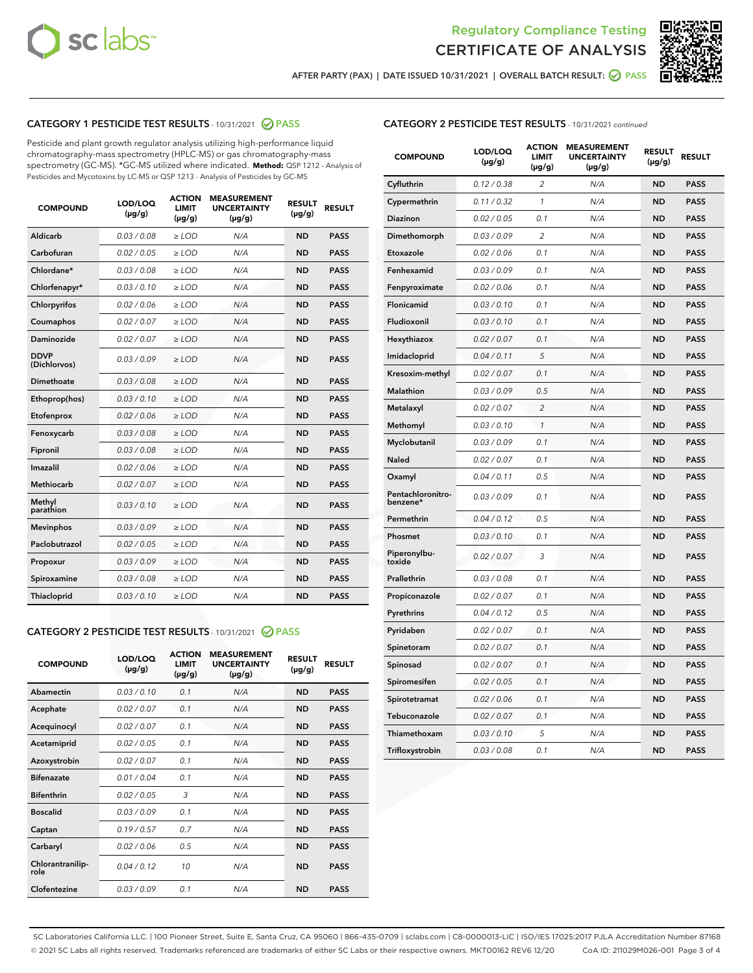



AFTER PARTY (PAX) | DATE ISSUED 10/31/2021 | OVERALL BATCH RESULT: 2 PASS

# CATEGORY 1 PESTICIDE TEST RESULTS - 10/31/2021 2 PASS

Pesticide and plant growth regulator analysis utilizing high-performance liquid chromatography-mass spectrometry (HPLC-MS) or gas chromatography-mass spectrometry (GC-MS). \*GC-MS utilized where indicated. **Method:** QSP 1212 - Analysis of Pesticides and Mycotoxins by LC-MS or QSP 1213 - Analysis of Pesticides by GC-MS

| <b>COMPOUND</b>             | LOD/LOQ<br>$(\mu g/g)$ | <b>ACTION</b><br><b>LIMIT</b><br>$(\mu g/g)$ | <b>MEASUREMENT</b><br><b>UNCERTAINTY</b><br>$(\mu g/g)$ | <b>RESULT</b><br>$(\mu g/g)$ | <b>RESULT</b> |
|-----------------------------|------------------------|----------------------------------------------|---------------------------------------------------------|------------------------------|---------------|
| Aldicarb                    | 0.03/0.08              | $>$ LOD                                      | N/A                                                     | <b>ND</b>                    | <b>PASS</b>   |
| Carbofuran                  | 0.02 / 0.05            | $\ge$ LOD                                    | N/A                                                     | <b>ND</b>                    | <b>PASS</b>   |
| Chlordane*                  | 0.03/0.08              | $>$ LOD                                      | N/A                                                     | <b>ND</b>                    | <b>PASS</b>   |
| Chlorfenapyr*               | 0.03 / 0.10            | $\ge$ LOD                                    | N/A                                                     | <b>ND</b>                    | <b>PASS</b>   |
| Chlorpyrifos                | 0.02 / 0.06            | $\ge$ LOD                                    | N/A                                                     | <b>ND</b>                    | <b>PASS</b>   |
| Coumaphos                   | 0.02 / 0.07            | $\ge$ LOD                                    | N/A                                                     | <b>ND</b>                    | <b>PASS</b>   |
| Daminozide                  | 0.02 / 0.07            | $\ge$ LOD                                    | N/A                                                     | <b>ND</b>                    | <b>PASS</b>   |
| <b>DDVP</b><br>(Dichlorvos) | 0.03/0.09              | $\ge$ LOD                                    | N/A                                                     | <b>ND</b>                    | <b>PASS</b>   |
| <b>Dimethoate</b>           | 0.03/0.08              | $\ge$ LOD                                    | N/A                                                     | <b>ND</b>                    | <b>PASS</b>   |
| Ethoprop(hos)               | 0.03/0.10              | $\ge$ LOD                                    | N/A                                                     | <b>ND</b>                    | <b>PASS</b>   |
| Etofenprox                  | 0.02 / 0.06            | $\ge$ LOD                                    | N/A                                                     | <b>ND</b>                    | <b>PASS</b>   |
| Fenoxycarb                  | 0.03 / 0.08            | $\ge$ LOD                                    | N/A                                                     | <b>ND</b>                    | <b>PASS</b>   |
| Fipronil                    | 0.03/0.08              | $>$ LOD                                      | N/A                                                     | <b>ND</b>                    | <b>PASS</b>   |
| Imazalil                    | 0.02 / 0.06            | $\ge$ LOD                                    | N/A                                                     | <b>ND</b>                    | <b>PASS</b>   |
| Methiocarb                  | 0.02 / 0.07            | $\ge$ LOD                                    | N/A                                                     | <b>ND</b>                    | <b>PASS</b>   |
| Methyl<br>parathion         | 0.03/0.10              | $\ge$ LOD                                    | N/A                                                     | <b>ND</b>                    | <b>PASS</b>   |
| <b>Mevinphos</b>            | 0.03/0.09              | $\ge$ LOD                                    | N/A                                                     | <b>ND</b>                    | <b>PASS</b>   |
| Paclobutrazol               | 0.02 / 0.05            | $>$ LOD                                      | N/A                                                     | <b>ND</b>                    | <b>PASS</b>   |
| Propoxur                    | 0.03/0.09              | $\ge$ LOD                                    | N/A                                                     | <b>ND</b>                    | <b>PASS</b>   |
| Spiroxamine                 | 0.03 / 0.08            | $\ge$ LOD                                    | N/A                                                     | <b>ND</b>                    | <b>PASS</b>   |
| Thiacloprid                 | 0.03/0.10              | $\ge$ LOD                                    | N/A                                                     | <b>ND</b>                    | <b>PASS</b>   |
|                             |                        |                                              |                                                         |                              |               |

## CATEGORY 2 PESTICIDE TEST RESULTS - 10/31/2021 @ PASS

| <b>COMPOUND</b>          | LOD/LOQ<br>$(\mu g/g)$ | <b>ACTION</b><br><b>LIMIT</b><br>$(\mu g/g)$ | <b>MEASUREMENT</b><br><b>UNCERTAINTY</b><br>$(\mu g/g)$ | <b>RESULT</b><br>$(\mu g/g)$ | <b>RESULT</b> |
|--------------------------|------------------------|----------------------------------------------|---------------------------------------------------------|------------------------------|---------------|
| Abamectin                | 0.03/0.10              | 0.1                                          | N/A                                                     | <b>ND</b>                    | <b>PASS</b>   |
| Acephate                 | 0.02/0.07              | 0.1                                          | N/A                                                     | <b>ND</b>                    | <b>PASS</b>   |
| Acequinocyl              | 0.02/0.07              | 0.1                                          | N/A                                                     | <b>ND</b>                    | <b>PASS</b>   |
| Acetamiprid              | 0.02/0.05              | 0.1                                          | N/A                                                     | <b>ND</b>                    | <b>PASS</b>   |
| Azoxystrobin             | 0.02/0.07              | 0.1                                          | N/A                                                     | <b>ND</b>                    | <b>PASS</b>   |
| <b>Bifenazate</b>        | 0.01/0.04              | 0.1                                          | N/A                                                     | <b>ND</b>                    | <b>PASS</b>   |
| <b>Bifenthrin</b>        | 0.02 / 0.05            | 3                                            | N/A                                                     | <b>ND</b>                    | <b>PASS</b>   |
| <b>Boscalid</b>          | 0.03/0.09              | 0.1                                          | N/A                                                     | <b>ND</b>                    | <b>PASS</b>   |
| Captan                   | 0.19/0.57              | 0.7                                          | N/A                                                     | <b>ND</b>                    | <b>PASS</b>   |
| Carbaryl                 | 0.02/0.06              | 0.5                                          | N/A                                                     | <b>ND</b>                    | <b>PASS</b>   |
| Chlorantranilip-<br>role | 0.04/0.12              | 10                                           | N/A                                                     | <b>ND</b>                    | <b>PASS</b>   |
| Clofentezine             | 0.03/0.09              | 0.1                                          | N/A                                                     | <b>ND</b>                    | <b>PASS</b>   |

# CATEGORY 2 PESTICIDE TEST RESULTS - 10/31/2021 continued

| <b>COMPOUND</b>               | LOD/LOQ<br>(µg/g) | <b>ACTION</b><br><b>LIMIT</b><br>$(\mu g/g)$ | <b>MEASUREMENT</b><br><b>UNCERTAINTY</b><br>$(\mu g/g)$ | <b>RESULT</b><br>(µg/g) | <b>RESULT</b> |
|-------------------------------|-------------------|----------------------------------------------|---------------------------------------------------------|-------------------------|---------------|
| Cyfluthrin                    | 0.12 / 0.38       | $\overline{c}$                               | N/A                                                     | ND                      | <b>PASS</b>   |
| Cypermethrin                  | 0.11 / 0.32       | $\mathcal{I}$                                | N/A                                                     | ND                      | <b>PASS</b>   |
| <b>Diazinon</b>               | 0.02 / 0.05       | 0.1                                          | N/A                                                     | <b>ND</b>               | <b>PASS</b>   |
| Dimethomorph                  | 0.03 / 0.09       | 2                                            | N/A                                                     | ND                      | <b>PASS</b>   |
| Etoxazole                     | 0.02 / 0.06       | 0.1                                          | N/A                                                     | ND                      | <b>PASS</b>   |
| Fenhexamid                    | 0.03 / 0.09       | 0.1                                          | N/A                                                     | ND                      | <b>PASS</b>   |
| Fenpyroximate                 | 0.02 / 0.06       | 0.1                                          | N/A                                                     | <b>ND</b>               | <b>PASS</b>   |
| Flonicamid                    | 0.03 / 0.10       | 0.1                                          | N/A                                                     | ND                      | <b>PASS</b>   |
| Fludioxonil                   | 0.03 / 0.10       | 0.1                                          | N/A                                                     | ND                      | <b>PASS</b>   |
| Hexythiazox                   | 0.02 / 0.07       | 0.1                                          | N/A                                                     | ND                      | <b>PASS</b>   |
| Imidacloprid                  | 0.04 / 0.11       | 5                                            | N/A                                                     | ND                      | <b>PASS</b>   |
| Kresoxim-methyl               | 0.02 / 0.07       | 0.1                                          | N/A                                                     | ND                      | <b>PASS</b>   |
| Malathion                     | 0.03 / 0.09       | 0.5                                          | N/A                                                     | ND                      | <b>PASS</b>   |
| Metalaxyl                     | 0.02 / 0.07       | $\overline{c}$                               | N/A                                                     | ND                      | <b>PASS</b>   |
| Methomyl                      | 0.03 / 0.10       | $\mathbf{1}$                                 | N/A                                                     | ND                      | <b>PASS</b>   |
| Myclobutanil                  | 0.03 / 0.09       | 0.1                                          | N/A                                                     | <b>ND</b>               | <b>PASS</b>   |
| Naled                         | 0.02 / 0.07       | 0.1                                          | N/A                                                     | ND                      | <b>PASS</b>   |
| Oxamyl                        | 0.04 / 0.11       | 0.5                                          | N/A                                                     | ND                      | PASS          |
| Pentachloronitro-<br>benzene* | 0.03 / 0.09       | 0.1                                          | N/A                                                     | ND                      | <b>PASS</b>   |
| Permethrin                    | 0.04 / 0.12       | 0.5                                          | N/A                                                     | ND                      | <b>PASS</b>   |
| Phosmet                       | 0.03 / 0.10       | 0.1                                          | N/A                                                     | ND                      | <b>PASS</b>   |
| Piperonylbu-<br>toxide        | 0.02 / 0.07       | 3                                            | N/A                                                     | <b>ND</b>               | <b>PASS</b>   |
| Prallethrin                   | 0.03 / 0.08       | 0.1                                          | N/A                                                     | ND                      | <b>PASS</b>   |
| Propiconazole                 | 0.02 / 0.07       | 0.1                                          | N/A                                                     | <b>ND</b>               | <b>PASS</b>   |
| Pyrethrins                    | 0.04 / 0.12       | 0.5                                          | N/A                                                     | ND                      | <b>PASS</b>   |
| Pyridaben                     | 0.02 / 0.07       | 0.1                                          | N/A                                                     | <b>ND</b>               | <b>PASS</b>   |
| Spinetoram                    | 0.02 / 0.07       | 0.1                                          | N/A                                                     | ND                      | <b>PASS</b>   |
| Spinosad                      | 0.02 / 0.07       | 0.1                                          | N/A                                                     | ND                      | <b>PASS</b>   |
| Spiromesifen                  | 0.02 / 0.05       | 0.1                                          | N/A                                                     | <b>ND</b>               | <b>PASS</b>   |
| Spirotetramat                 | 0.02 / 0.06       | 0.1                                          | N/A                                                     | ND                      | <b>PASS</b>   |
| Tebuconazole                  | 0.02 / 0.07       | 0.1                                          | N/A                                                     | ND                      | <b>PASS</b>   |
| Thiamethoxam                  | 0.03 / 0.10       | 5                                            | N/A                                                     | <b>ND</b>               | <b>PASS</b>   |
| Trifloxystrobin               | 0.03 / 0.08       | 0.1                                          | N/A                                                     | <b>ND</b>               | <b>PASS</b>   |

SC Laboratories California LLC. | 100 Pioneer Street, Suite E, Santa Cruz, CA 95060 | 866-435-0709 | sclabs.com | C8-0000013-LIC | ISO/IES 17025:2017 PJLA Accreditation Number 87168 © 2021 SC Labs all rights reserved. Trademarks referenced are trademarks of either SC Labs or their respective owners. MKT00162 REV6 12/20 CoA ID: 211029M026-001 Page 3 of 4